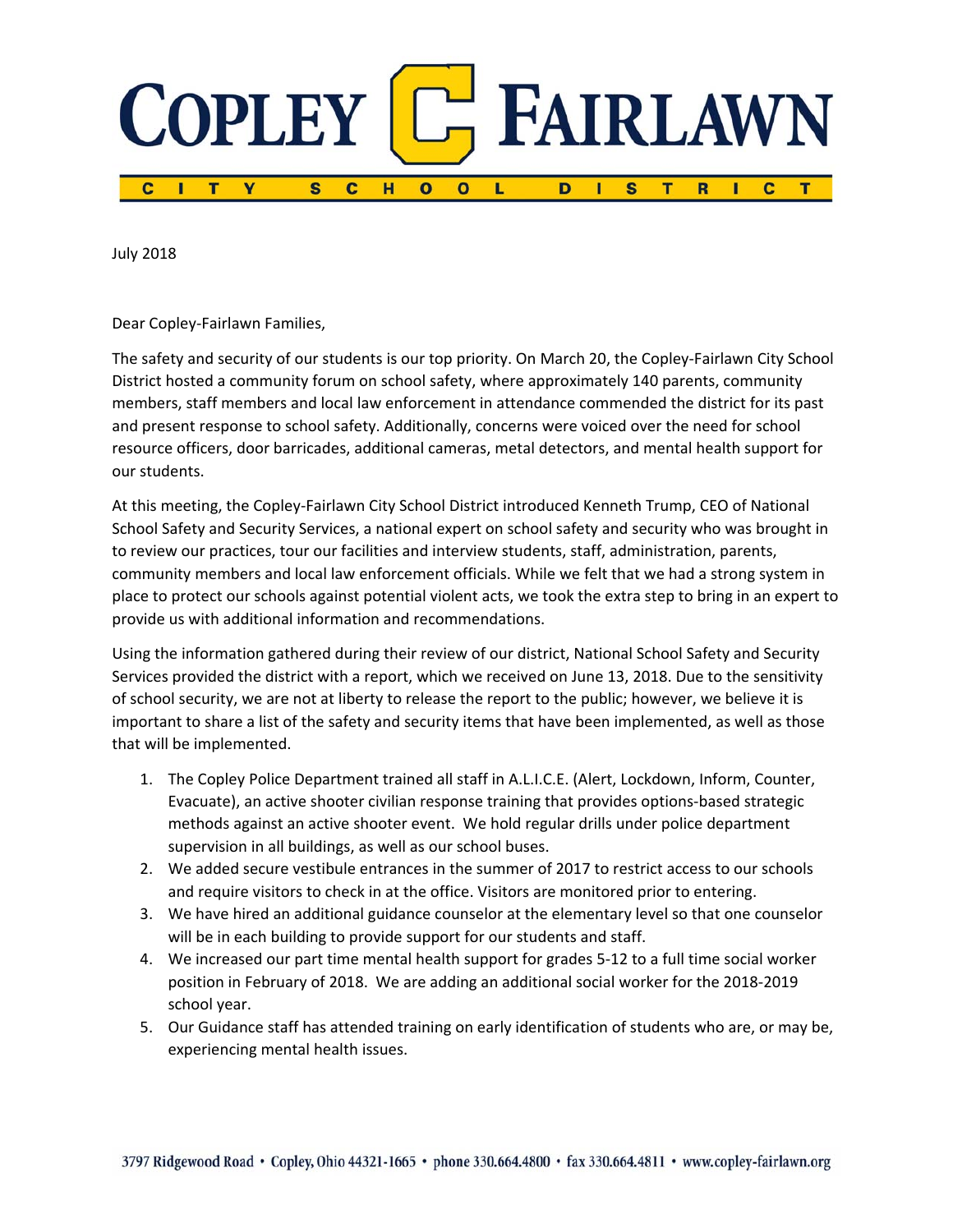

July 2018

Dear Copley‐Fairlawn Families,

The safety and security of our students is our top priority. On March 20, the Copley‐Fairlawn City School District hosted a community forum on school safety, where approximately 140 parents, community members, staff members and local law enforcement in attendance commended the district for its past and present response to school safety. Additionally, concerns were voiced over the need for school resource officers, door barricades, additional cameras, metal detectors, and mental health support for our students.

At this meeting, the Copley‐Fairlawn City School District introduced Kenneth Trump, CEO of National School Safety and Security Services, a national expert on school safety and security who was brought in to review our practices, tour our facilities and interview students, staff, administration, parents, community members and local law enforcement officials. While we felt that we had a strong system in place to protect our schools against potential violent acts, we took the extra step to bring in an expert to provide us with additional information and recommendations.

Using the information gathered during their review of our district, National School Safety and Security Services provided the district with a report, which we received on June 13, 2018. Due to the sensitivity of school security, we are not at liberty to release the report to the public; however, we believe it is important to share a list of the safety and security items that have been implemented, as well as those that will be implemented.

- 1. The Copley Police Department trained all staff in A.L.I.C.E. (Alert, Lockdown, Inform, Counter, Evacuate), an active shooter civilian response training that provides options‐based strategic methods against an active shooter event. We hold regular drills under police department supervision in all buildings, as well as our school buses.
- 2. We added secure vestibule entrances in the summer of 2017 to restrict access to our schools and require visitors to check in at the office. Visitors are monitored prior to entering.
- 3. We have hired an additional guidance counselor at the elementary level so that one counselor will be in each building to provide support for our students and staff.
- 4. We increased our part time mental health support for grades 5‐12 to a full time social worker position in February of 2018. We are adding an additional social worker for the 2018‐2019 school year.
- 5. Our Guidance staff has attended training on early identification of students who are, or may be, experiencing mental health issues.